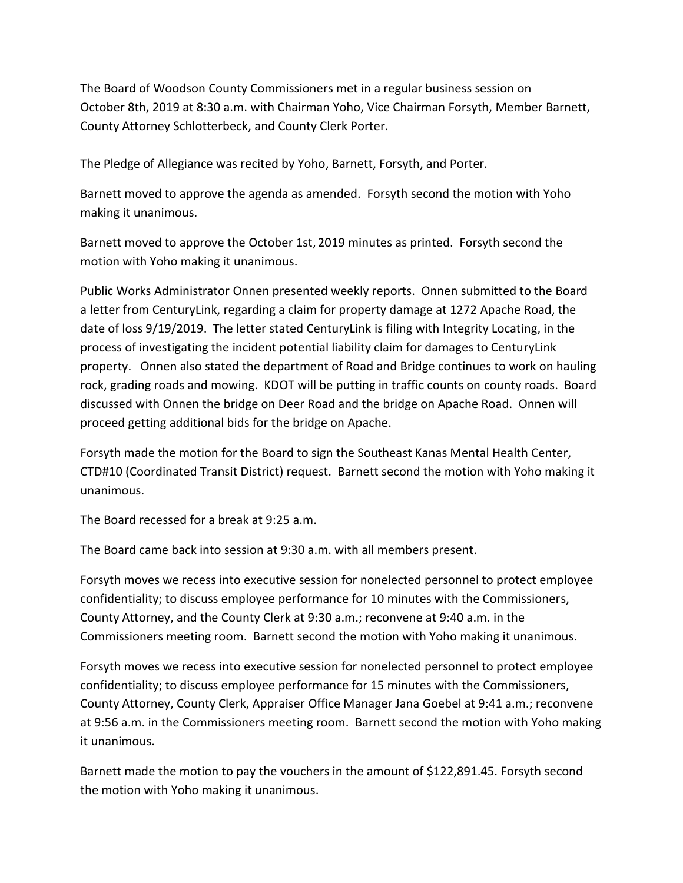The Board of Woodson County Commissioners met in a regular business session on October 8th, 2019 at 8:30 a.m. with Chairman Yoho, Vice Chairman Forsyth, Member Barnett, County Attorney Schlotterbeck, and County Clerk Porter.

The Pledge of Allegiance was recited by Yoho, Barnett, Forsyth, and Porter.

Barnett moved to approve the agenda as amended. Forsyth second the motion with Yoho making it unanimous.

Barnett moved to approve the October 1st, 2019 minutes as printed. Forsyth second the motion with Yoho making it unanimous.

Public Works Administrator Onnen presented weekly reports. Onnen submitted to the Board a letter from CenturyLink, regarding a claim for property damage at 1272 Apache Road, the date of loss 9/19/2019. The letter stated CenturyLink is filing with Integrity Locating, in the process of investigating the incident potential liability claim for damages to CenturyLink property. Onnen also stated the department of Road and Bridge continues to work on hauling rock, grading roads and mowing. KDOT will be putting in traffic counts on county roads. Board discussed with Onnen the bridge on Deer Road and the bridge on Apache Road. Onnen will proceed getting additional bids for the bridge on Apache.

Forsyth made the motion for the Board to sign the Southeast Kanas Mental Health Center, CTD#10 (Coordinated Transit District) request. Barnett second the motion with Yoho making it unanimous.

The Board recessed for a break at 9:25 a.m.

The Board came back into session at 9:30 a.m. with all members present.

Forsyth moves we recess into executive session for nonelected personnel to protect employee confidentiality; to discuss employee performance for 10 minutes with the Commissioners, County Attorney, and the County Clerk at 9:30 a.m.; reconvene at 9:40 a.m. in the Commissioners meeting room. Barnett second the motion with Yoho making it unanimous.

Forsyth moves we recess into executive session for nonelected personnel to protect employee confidentiality; to discuss employee performance for 15 minutes with the Commissioners, County Attorney, County Clerk, Appraiser Office Manager Jana Goebel at 9:41 a.m.; reconvene at 9:56 a.m. in the Commissioners meeting room. Barnett second the motion with Yoho making it unanimous.

Barnett made the motion to pay the vouchers in the amount of \$122,891.45. Forsyth second the motion with Yoho making it unanimous.